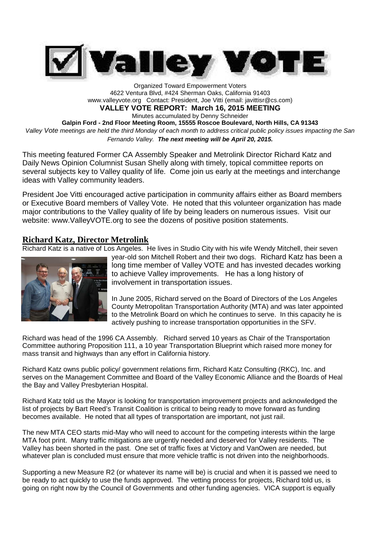

Organized Toward Empowerment Voters 4622 Ventura Blvd, #424 Sherman Oaks, California 91403 www.valleyvote.org Contact: President, Joe Vitti (email: javittisr@cs.com) **VALLEY VOTE REPORT: March 16, 2015 MEETING** Minutes accumulated by Denny Schneider **Galpin Ford - 2nd Floor Meeting Room, 15555 Roscoe Boulevard, North Hills, CA 91343** *Valley Vote meetings are held the third Monday of each month to address critical public policy issues impacting the San Fernando Valley. The next meeting will be April 20, 2015.*

This meeting featured Former CA Assembly Speaker and Metrolink Director Richard Katz and Daily News Opinion Columnist Susan Shelly along with timely, topical committee reports on several subjects key to Valley quality of life. Come join us early at the meetings and interchange ideas with Valley community leaders.

President Joe Vitti encouraged active participation in community affairs either as Board members or Executive Board members of Valley Vote. He noted that this volunteer organization has made major contributions to the Valley quality of life by being leaders on numerous issues. Visit our website: www.ValleyVOTE.org to see the dozens of positive position statements.

### **Richard Katz, Director Metrolink**

Richard Katz is a native of Los Angeles. He lives in Studio City with his wife Wendy Mitchell, their seven



year-old son Mitchell Robert and their two dogs. Richard Katz has been a long time member of Valley VOTE and has invested decades working to achieve Valley improvements. He has a long history of involvement in transportation issues.

In June 2005, Richard served on the Board of Directors of the Los Angeles County Metropolitan Transportation Authority (MTA) and was later appointed to the Metrolink Board on which he continues to serve. In this capacity he is actively pushing to increase transportation opportunities in the SFV.

Richard was head of the 1996 CA Assembly. Richard served 10 years as Chair of the Transportation Committee authoring Proposition 111, a 10 year Transportation Blueprint which raised more money for mass transit and highways than any effort in California history.

Richard Katz owns public policy/ government relations firm, Richard Katz Consulting (RKC), Inc. and serves on the Management Committee and Board of the Valley Economic Alliance and the Boards of Heal the Bay and Valley Presbyterian Hospital.

Richard Katz told us the Mayor is looking for transportation improvement projects and acknowledged the list of projects by Bart Reed's Transit Coalition is critical to being ready to move forward as funding becomes available. He noted that all types of transportation are important, not just rail.

The new MTA CEO starts mid-May who will need to account for the competing interests within the large MTA foot print. Many traffic mitigations are urgently needed and deserved for Valley residents. The Valley has been shorted in the past. One set of traffic fixes at Victory and VanOwen are needed, but whatever plan is concluded must ensure that more vehicle traffic is not driven into the neighborhoods.

Supporting a new Measure R2 (or whatever its name will be) is crucial and when it is passed we need to be ready to act quickly to use the funds approved. The vetting process for projects, Richard told us, is going on right now by the Council of Governments and other funding agencies. VICA support is equally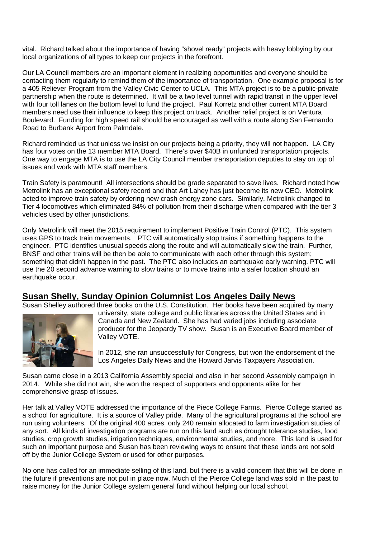vital. Richard talked about the importance of having "shovel ready" projects with heavy lobbying by our local organizations of all types to keep our projects in the forefront.

Our LA Council members are an important element in realizing opportunities and everyone should be contacting them regularly to remind them of the importance of transportation. One example proposal is for a 405 Reliever Program from the Valley Civic Center to UCLA. This MTA project is to be a public-private partnership when the route is determined. It will be a two level tunnel with rapid transit in the upper level with four toll lanes on the bottom level to fund the project. Paul Korretz and other current MTA Board members need use their influence to keep this project on track. Another relief project is on Ventura Boulevard. Funding for high speed rail should be encouraged as well with a route along San Fernando Road to Burbank Airport from Palmdale.

Richard reminded us that unless we insist on our projects being a priority, they will not happen. LA City has four votes on the 13 member MTA Board. There's over \$40B in unfunded transportation projects. One way to engage MTA is to use the LA City Council member transportation deputies to stay on top of issues and work with MTA staff members.

Train Safety is paramount! All intersections should be grade separated to save lives. Richard noted how Metrolink has an exceptional safety record and that Art Lahey has just become its new CEO. Metrolink acted to improve train safety by ordering new crash energy zone cars. Similarly, Metrolink changed to Tier 4 locomotives which eliminated 84% of pollution from their discharge when compared with the tier 3 vehicles used by other jurisdictions.

Only Metrolink will meet the 2015 requirement to implement Positive Train Control (PTC). This system uses GPS to track train movements. PTC will automatically stop trains if something happens to the engineer. PTC identifies unusual speeds along the route and will automatically slow the train. Further, BNSF and other trains will be then be able to communicate with each other through this system; something that didn't happen in the past. The PTC also includes an earthquake early warning. PTC will use the 20 second advance warning to slow trains or to move trains into a safer location should an earthquake occur.

### **Susan Shelly, Sunday Opinion Columnist Los Angeles Daily News**

Susan Shelley authored three books on the U.S. Constitution. Her books have been acquired by many



university, state college and public libraries across the United States and in Canada and New Zealand. She has had varied jobs including associate producer for the Jeopardy TV show. Susan is an Executive Board member of Valley VOTE.

In 2012, she ran unsuccessfully for Congress, but won the endorsement of the Los Angeles Daily News and the Howard Jarvis Taxpayers Association.

Susan came close in a 2013 California Assembly special and also in her second Assembly campaign in 2014. While she did not win, she won the respect of supporters and opponents alike for her comprehensive grasp of issues.

Her talk at Valley VOTE addressed the importance of the Piece College Farms. Pierce College started as a school for agriculture. It is a source of Valley pride. Many of the agricultural programs at the school are run using volunteers. Of the original 400 acres, only 240 remain allocated to farm investigation studies of any sort. All kinds of investigation programs are run on this land such as drought tolerance studies, food studies, crop growth studies, irrigation techniques, environmental studies, and more. This land is used for such an important purpose and Susan has been reviewing ways to ensure that these lands are not sold off by the Junior College System or used for other purposes.

No one has called for an immediate selling of this land, but there is a valid concern that this will be done in the future if preventions are not put in place now. Much of the Pierce College land was sold in the past to raise money for the Junior College system general fund without helping our local school.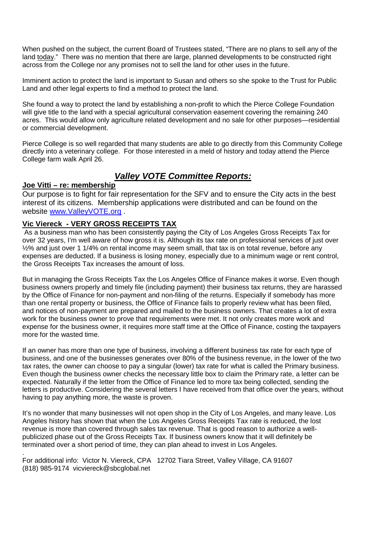When pushed on the subject, the current Board of Trustees stated, "There are no plans to sell any of the land today." There was no mention that there are large, planned developments to be constructed right across from the College nor any promises not to sell the land for other uses in the future.

Imminent action to protect the land is important to Susan and others so she spoke to the Trust for Public Land and other legal experts to find a method to protect the land.

She found a way to protect the land by establishing a non-profit to which the Pierce College Foundation will give title to the land with a special agricultural conservation easement covering the remaining 240 acres. This would allow only agriculture related development and no sale for other purposes—residential or commercial development.

Pierce College is so well regarded that many students are able to go directly from this Community College directly into a veterinary college. For those interested in a meld of history and today attend the Pierce College farm walk April 26.

## *Valley VOTE Committee Reports:*

#### **Joe Vitti – re: membership**

.

Our purpose is to fight for fair representation for the SFV and to ensure the City acts in the best interest of its citizens. Membership applications were distributed and can be found on the website www.ValleyVOTE.org .

#### **Vic Viereck - VERY GROSS RECEIPTS TAX**

As a business man who has been consistently paying the City of Los Angeles Gross Receipts Tax for over 32 years, I'm well aware of how gross it is. Although its tax rate on professional services of just over ½% and just over 1 1/4% on rental income may seem small, that tax is on total revenue, before any expenses are deducted. If a business is losing money, especially due to a minimum wage or rent control, the Gross Receipts Tax increases the amount of loss.

But in managing the Gross Receipts Tax the Los Angeles Office of Finance makes it worse. Even though business owners properly and timely file (including payment) their business tax returns, they are harassed by the Office of Finance for non-payment and non-filing of the returns. Especially if somebody has more than one rental property or business, the Office of Finance fails to properly review what has been filed, and notices of non-payment are prepared and mailed to the business owners. That creates a lot of extra work for the business owner to prove that requirements were met. It not only creates more work and expense for the business owner, it requires more staff time at the Office of Finance, costing the taxpayers more for the wasted time.

If an owner has more than one type of business, involving a different business tax rate for each type of business, and one of the businesses generates over 80% of the business revenue, in the lower of the two tax rates, the owner can choose to pay a singular (lower) tax rate for what is called the Primary business. Even though the business owner checks the necessary little box to claim the Primary rate, a letter can be expected. Naturally if the letter from the Office of Finance led to more tax being collected, sending the letters is productive. Considering the several letters I have received from that office over the years, without having to pay anything more, the waste is proven.

It's no wonder that many businesses will not open shop in the City of Los Angeles, and many leave. Los Angeles history has shown that when the Los Angeles Gross Receipts Tax rate is reduced, the lost revenue is more than covered through sales tax revenue. That is good reason to authorize a wellpublicized phase out of the Gross Receipts Tax. If business owners know that it will definitely be terminated over a short period of time, they can plan ahead to invest in Los Angeles.

For additional info: Victor N. Viereck, CPA 12702 Tiara Street, Valley Village, CA 91607 (818) 985-9174 vicviereck@sbcglobal.net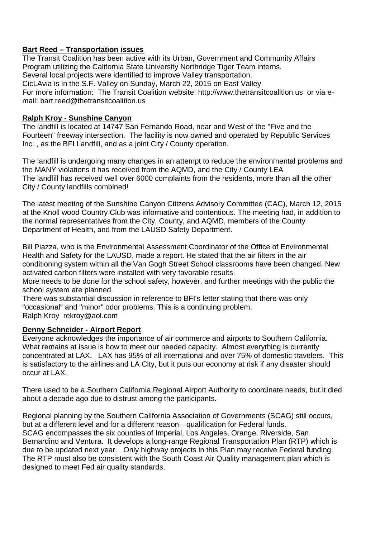#### **Bart Reed – Transportation issues**

The Transit Coalition has been active with its Urban, Government and Community Affairs Program utilizing the California State University Northridge Tiger Team interns. Several local projects were identified to improve Valley transportation. CicLAvia is in the S.F. Valley on Sunday, March 22, 2015 on East Valley For more information: The Transit Coalition website: http://www.thetransitcoalition.us or via email: bart.reed@thetransitcoalition.us

#### **Ralph Kroy - Sunshine Canyon**

The landfill is located at 14747 San Fernando Road, near and West of the "Five and the Fourteen" freeway intersection. The facility is now owned and operated by Republic Services Inc. , as the BFI Landfill, and as a joint City / County operation.

The landfill is undergoing many changes in an attempt to reduce the environmental problems and the MANY violations it has received from the AQMD, and the City / County LEA The landfill has received well over 6000 complaints from the residents, more than all the other City / County landfills combined!

The latest meeting of the Sunshine Canyon Citizens Advisory Committee (CAC), March 12, 2015 at the Knoll wood Country Club was informative and contentious. The meeting had, in addition to the normal representatives from the City, County, and AQMD, members of the County Department of Health, and from the LAUSD Safety Department.

Bill Piazza, who is the Environmental Assessment Coordinator of the Office of Environmental Health and Safety for the LAUSD, made a report. He stated that the air filters in the air conditioning system within all the Van Gogh Street School classrooms have been changed. New activated carbon filters were installed with very favorable results.

More needs to be done for the school safety, however, and further meetings with the public the school system are planned.

There was substantial discussion in reference to BFI's letter stating that there was only "occasional" and "minor" odor problems. This is a continuing problem. Ralph Kroy rekroy@aol.com

#### **Denny Schneider - Airport Report**

Everyone acknowledges the importance of air commerce and airports to Southern California. What remains at issue is how to meet our needed capacity. Almost everything is currently concentrated at LAX. LAX has 95% of all international and over 75% of domestic travelers. This is satisfactory to the airlines and LA City, but it puts our economy at risk if any disaster should occur at LAX.

There used to be a Southern California Regional Airport Authority to coordinate needs, but it died about a decade ago due to distrust among the participants.

Regional planning by the Southern California Association of Governments (SCAG) still occurs, but at a different level and for a different reason—qualification for Federal funds. SCAG encompasses the six counties of Imperial, Los Angeles, Orange, Riverside, San Bernardino and Ventura. It develops a long-range Regional Transportation Plan (RTP) which is due to be updated next year. Only highway projects in this Plan may receive Federal funding. The RTP must also be consistent with the South Coast Air Quality management plan which is designed to meet Fed air quality standards.